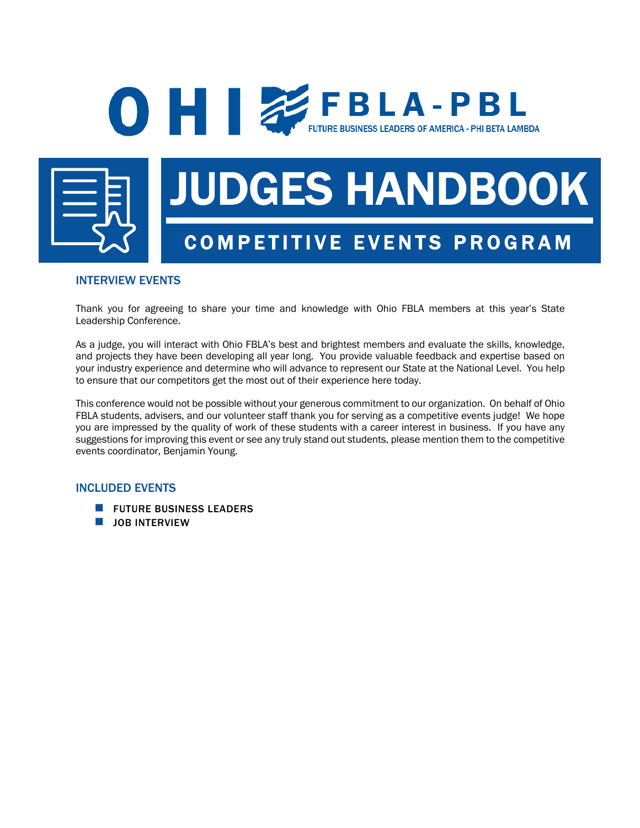## **O FBLA-PBL** FUTURE BUSINESS LEADERS OF AMERICA - PHI BETA LAMBDA



# JUDGES HANDBOOK COMPETITIVE EVENTS PROGRAM

### INTERVIEW EVENTS

Thank you for agreeing to share your time and knowledge with Ohio FBLA members at this year's State Leadership Conference.

As a judge, you will interact with Ohio FBLA's best and brightest members and evaluate the skills, knowledge, and projects they have been developing all year long. You provide valuable feedback and expertise based on your industry experience and determine who will advance to represent our State at the National Level. You help to ensure that our competitors get the most out of their experience here today.

This conference would not be possible without your generous commitment to our organization. On behalf of Ohio FBLA students, advisers, and our volunteer staff thank you for serving as a competitive events judge! We hope you are impressed by the quality of work of these students with a career interest in business. If you have any suggestions for improving this event or see any truly stand out students, please mention them to the competitive events coordinator, Benjamin Young.

#### INCLUDED EVENTS

- **N** FUTURE BUSINESS LEADERS
- **N** JOB INTERVIEW